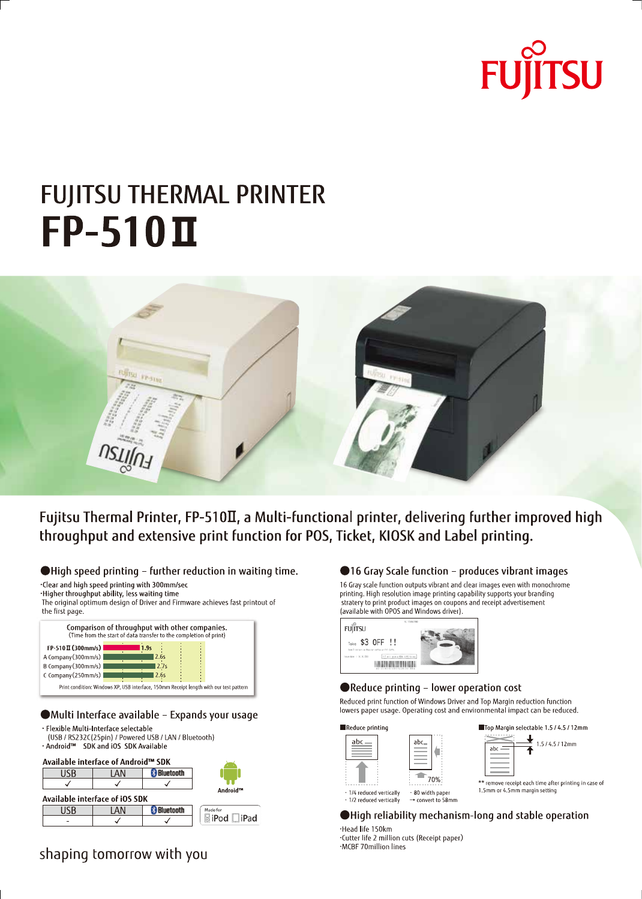# **FUJITSU**

# **FUJITSU THERMAL PRINTER**  $FP-510$ II



Fujitsu Thermal Printer, FP-510II, a Multi-functional printer, delivering further improved high throughput and extensive print function for POS, Ticket, KIOSK and Label printing.

● High speed printing - further reduction in waiting time.

.Clear and high speed printing with 300mm/sec ·Higher throughput ability, less waiting time

The original optimum design of Driver and Firmware achieves fast printout of the first page.

| Comparison of throughput with other companies.<br>(Time from the start of data transfer to the completion of print) |  |      |  |  |  |  |  |
|---------------------------------------------------------------------------------------------------------------------|--|------|--|--|--|--|--|
| $FP-510\,\Pi(300mm/s)$                                                                                              |  | 1.9s |  |  |  |  |  |
| A Company (300mm/s)                                                                                                 |  | 2.6s |  |  |  |  |  |
| B Company (300mm/s)                                                                                                 |  | 2.7s |  |  |  |  |  |
| C Company (250mm/s)                                                                                                 |  | 2.6s |  |  |  |  |  |
| Print condition: Windows XP, USB interface, 150mm Receipt length with our test pattern                              |  |      |  |  |  |  |  |

#### ●Multi Interface available - Expands your usage

· Flexible Multi-Interface selectable (USB / RS232C(25pin) / Powered USB / LAN / Bluetooth) . Android™ SDK and iOS SDK Available

| Available interface of Android™ SDK |          |           |                    |
|-------------------------------------|----------|-----------|--------------------|
| USB                                 | I AN     | Bluetooth |                    |
|                                     |          |           |                    |
| Available interface of iOS SDK      | Android™ |           |                    |
| IJSB                                | I AN     | luetooth  | Made for           |
|                                     |          |           | <b>SiPod □iPad</b> |

## shaping tomorrow with you

#### ●16 Gray Scale function - produces vibrant images

16 Gray scale function outputs vibrant and clear images even with monochrome printing. High resolution image printing capability supports your branding stratery to print product images on coupons and receipt advertisement (available with OPOS and Windows driver).



#### ●Reduce printing - lower operation cost

Reduced print function of Windows Driver and Top Margin reduction function lowers paper usage. Operating cost and environmental impact can be reduced.





● High reliability mechanism-long and stable operation

·Head life 150km ·Cutter life 2 million cuts (Receipt paper) ·MCBF 70million lines